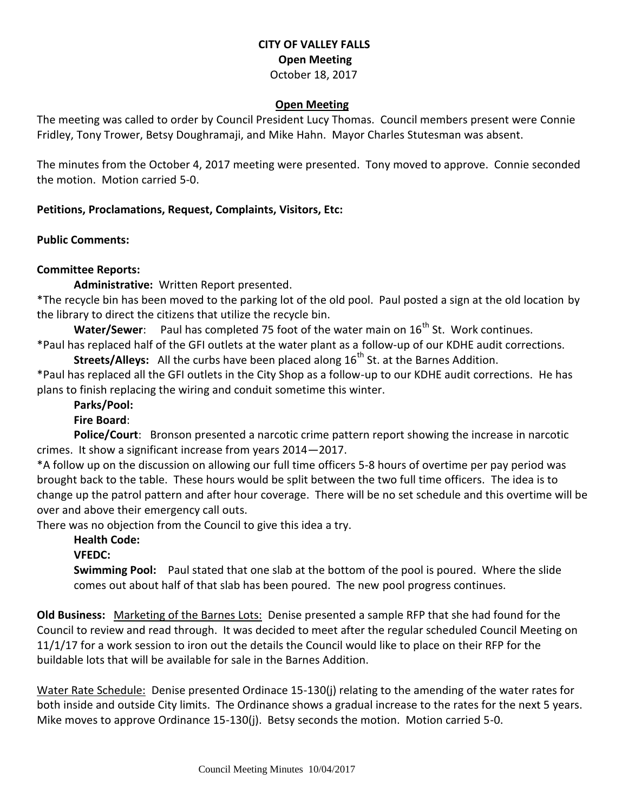## **CITY OF VALLEY FALLS Open Meeting** October 18, 2017

#### **Open Meeting**

The meeting was called to order by Council President Lucy Thomas. Council members present were Connie Fridley, Tony Trower, Betsy Doughramaji, and Mike Hahn. Mayor Charles Stutesman was absent.

The minutes from the October 4, 2017 meeting were presented. Tony moved to approve. Connie seconded the motion. Motion carried 5-0.

### **Petitions, Proclamations, Request, Complaints, Visitors, Etc:**

**Public Comments:** 

## **Committee Reports:**

**Administrative:** Written Report presented.

\*The recycle bin has been moved to the parking lot of the old pool. Paul posted a sign at the old location by the library to direct the citizens that utilize the recycle bin.

**Water/Sewer**: Paul has completed 75 foot of the water main on 16<sup>th</sup> St. Work continues.

\*Paul has replaced half of the GFI outlets at the water plant as a follow-up of our KDHE audit corrections. **Streets/Alleys:** All the curbs have been placed along 16<sup>th</sup> St. at the Barnes Addition.

\*Paul has replaced all the GFI outlets in the City Shop as a follow-up to our KDHE audit corrections. He has plans to finish replacing the wiring and conduit sometime this winter.

**Parks/Pool:**

### **Fire Board**:

**Police/Court**: Bronson presented a narcotic crime pattern report showing the increase in narcotic crimes. It show a significant increase from years 2014—2017.

\*A follow up on the discussion on allowing our full time officers 5-8 hours of overtime per pay period was brought back to the table. These hours would be split between the two full time officers. The idea is to change up the patrol pattern and after hour coverage. There will be no set schedule and this overtime will be over and above their emergency call outs.

There was no objection from the Council to give this idea a try.

# **Health Code:**

**VFEDC:** 

**Swimming Pool:** Paul stated that one slab at the bottom of the pool is poured. Where the slide comes out about half of that slab has been poured. The new pool progress continues.

**Old Business:** Marketing of the Barnes Lots: Denise presented a sample RFP that she had found for the Council to review and read through. It was decided to meet after the regular scheduled Council Meeting on 11/1/17 for a work session to iron out the details the Council would like to place on their RFP for the buildable lots that will be available for sale in the Barnes Addition.

Water Rate Schedule: Denise presented Ordinace 15-130(j) relating to the amending of the water rates for both inside and outside City limits. The Ordinance shows a gradual increase to the rates for the next 5 years. Mike moves to approve Ordinance 15-130(j). Betsy seconds the motion. Motion carried 5-0.